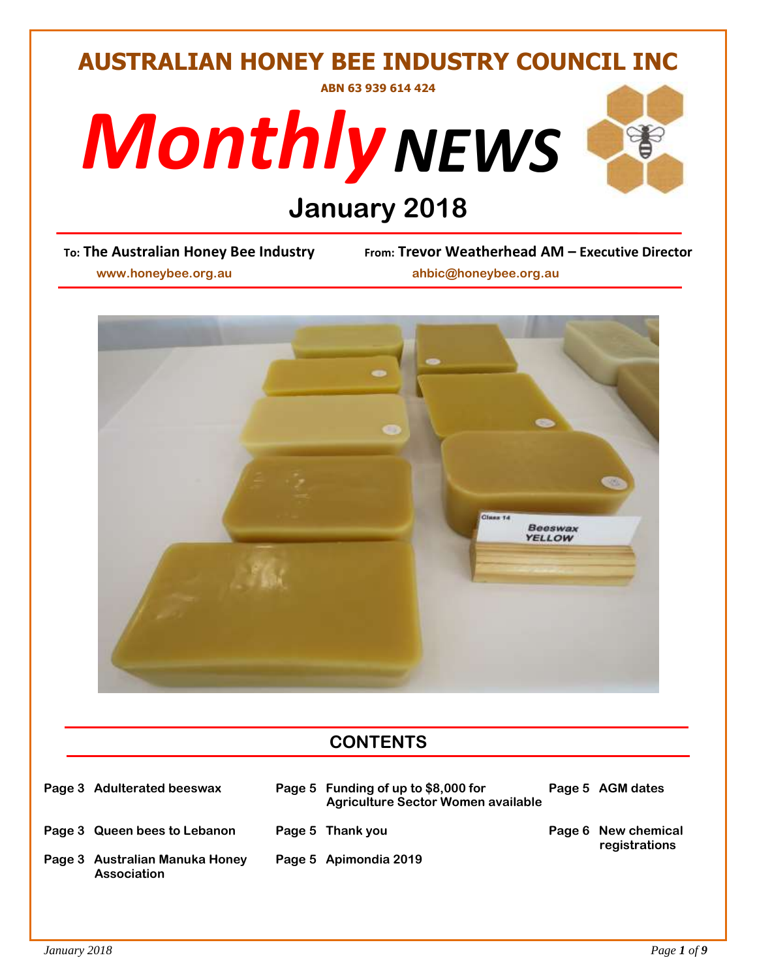# **AUSTRALIAN HONEY BEE INDUSTRY COUNCIL INC ABN 63 939 614 424**





# **Deam Line Stry Tree Stry Prom: Trevor Wear**

**To: The Australian Honey Bee Industry From: Trevor Weatherhead AM – Executive Director**

 **www.honeybee.org.au ahbic@honeybee.org.au**



# **CONTENTS**

| Page 3 Adulterated beeswax                           | Page 5 Funding of up to \$8,000 for<br><b>Agriculture Sector Women available</b> | Page 5 AGM dates                     |
|------------------------------------------------------|----------------------------------------------------------------------------------|--------------------------------------|
| Page 3 Queen bees to Lebanon                         | Page 5 Thank you                                                                 | Page 6 New chemical<br>registrations |
| Page 3 Australian Manuka Honey<br><b>Association</b> | Page 5 Apimondia 2019                                                            |                                      |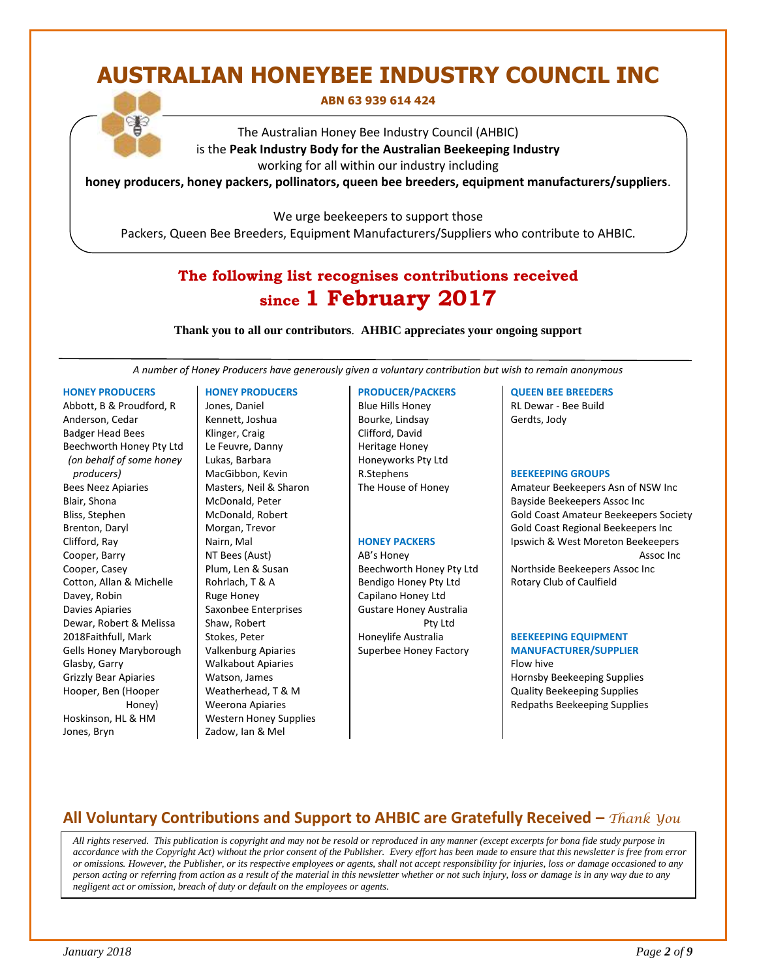# **AUSTRALIAN HONEYBEE INDUSTRY COUNCIL INC**

#### **ABN 63 939 614 424**

The Australian Honey Bee Industry Council (AHBIC) is the **Peak Industry Body for the Australian Beekeeping Industry** working for all within our industry including

**honey producers, honey packers, pollinators, queen bee breeders, equipment manufacturers/suppliers**.

We urge beekeepers to support those

Packers, Queen Bee Breeders, Equipment Manufacturers/Suppliers who contribute to AHBIC.

## **The following list recognises contributions received since 1 February 2017**

**Thank you to all our contributors***.* **AHBIC appreciates your ongoing support**

*A number of Honey Producers have generously given a voluntary contribution but wish to remain anonymous*

#### **HONEY PRODUCERS**

Abbott, B & Proudford, R Anderson, Cedar Badger Head Bees Beechworth Honey Pty Ltd *(on behalf of some honey producers)* Bees Neez Apiaries Blair, Shona Bliss, Stephen Brenton, Daryl Clifford, Ray Cooper, Barry Cooper, Casey Cotton, Allan & Michelle Davey, Robin Davies Apiaries Dewar, Robert & Melissa 2018Faithfull, Mark Gells Honey Maryborough Glasby, Garry Grizzly Bear Apiaries Hooper, Ben (Hooper Honey) Hoskinson, HL & HM Jones, Bryn

#### **HONEY PRODUCERS**

Jones, Daniel Kennett, Joshua Klinger, Craig Le Feuvre, Danny Lukas, Barbara MacGibbon, Kevin Masters, Neil & Sharon McDonald, Peter McDonald, Robert Morgan, Trevor Nairn, Mal NT Bees (Aust) Plum, Len & Susan Rohrlach, T & A Ruge Honey Saxonbee Enterprises Shaw, Robert Stokes, Peter Valkenburg Apiaries Walkabout Apiaries Watson, James Weatherhead, T & M Weerona Apiaries Western Honey Supplies Zadow, Ian & Mel

#### **PRODUCER/PACKERS**

Blue Hills Honey Bourke, Lindsay Clifford, David Heritage Honey Honeyworks Pty Ltd R.Stephens The House of Honey

#### **HONEY PACKERS**

AB's Honey Beechworth Honey Pty Ltd Bendigo Honey Pty Ltd Capilano Honey Ltd Gustare Honey Australia Pty Ltd Honeylife Australia Superbee Honey Factory

#### **QUEEN BEE BREEDERS**

RL Dewar - Bee Build Gerdts, Jody

#### **BEEKEEPING GROUPS**

Amateur Beekeepers Asn of NSW Inc Bayside Beekeepers Assoc Inc Gold Coast Amateur Beekeepers Society Gold Coast Regional Beekeepers Inc Ipswich & West Moreton Beekeepers Assoc Inc Northside Beekeepers Assoc Inc Rotary Club of Caulfield

#### **BEEKEEPING EQUIPMENT MANUFACTURER/SUPPLIER**

Flow hive Hornsby Beekeeping Supplies Quality Beekeeping Supplies Redpaths Beekeeping Supplies

## **All Voluntary Contributions and Support to AHBIC are Gratefully Received –** *Thank You*

 *All rights reserved. This publication is copyright and may not be resold or reproduced in any manner (except excerpts for bona fide study purpose in accordance with the Copyright Act) without the prior consent of the Publisher. Every effort has been made to ensure that this newsletter is free from error or omissions. However, the Publisher, or its respective employees or agents, shall not accept responsibility for injuries, loss or damage occasioned to any person acting or referring from action as a result of the material in this newsletter whether or not such injury, loss or damage is in any way due to any negligent act or omission, breach of duty or default on the employees or agents.*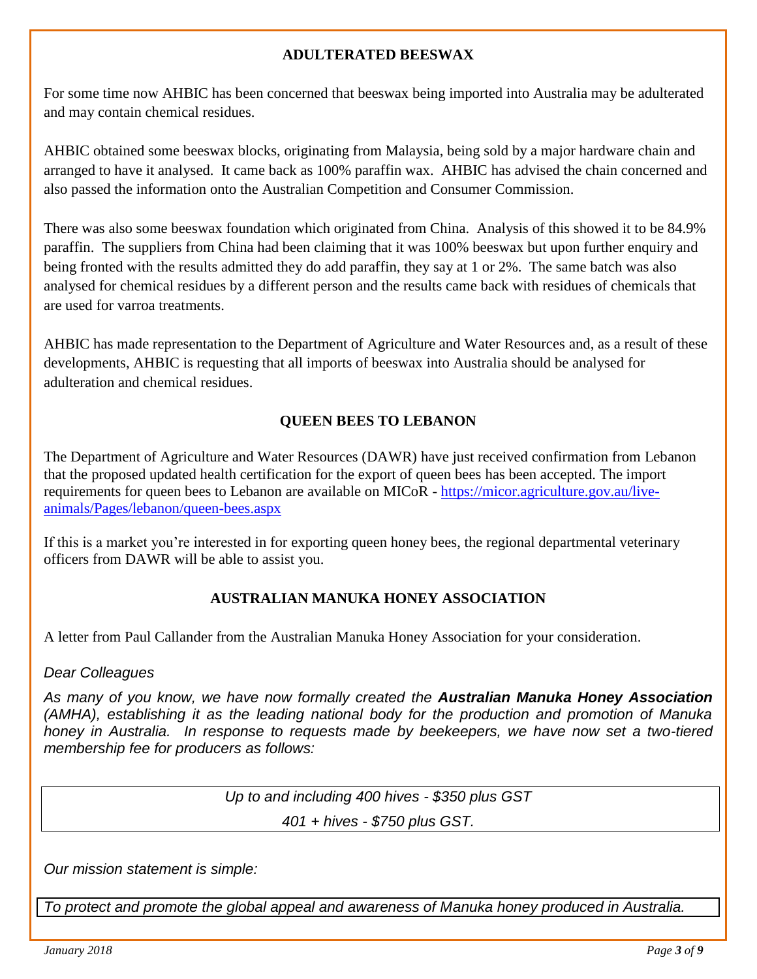## **ADULTERATED BEESWAX**

For some time now AHBIC has been concerned that beeswax being imported into Australia may be adulterated and may contain chemical residues.

AHBIC obtained some beeswax blocks, originating from Malaysia, being sold by a major hardware chain and arranged to have it analysed. It came back as 100% paraffin wax. AHBIC has advised the chain concerned and also passed the information onto the Australian Competition and Consumer Commission.

There was also some beeswax foundation which originated from China. Analysis of this showed it to be 84.9% paraffin. The suppliers from China had been claiming that it was 100% beeswax but upon further enquiry and being fronted with the results admitted they do add paraffin, they say at 1 or 2%. The same batch was also analysed for chemical residues by a different person and the results came back with residues of chemicals that are used for varroa treatments.

AHBIC has made representation to the Department of Agriculture and Water Resources and, as a result of these developments, AHBIC is requesting that all imports of beeswax into Australia should be analysed for adulteration and chemical residues.

## **QUEEN BEES TO LEBANON**

The Department of Agriculture and Water Resources (DAWR) have just received confirmation from Lebanon that the proposed updated health certification for the export of queen bees has been accepted. The import requirements for queen bees to Lebanon are available on MICoR - [https://micor.agriculture.gov.au/live](https://micor.agriculture.gov.au/live-animals/Pages/lebanon/queen-bees.aspx)[animals/Pages/lebanon/queen-bees.aspx](https://micor.agriculture.gov.au/live-animals/Pages/lebanon/queen-bees.aspx)

If this is a market you're interested in for exporting queen honey bees, the regional departmental veterinary officers from DAWR will be able to assist you.

## **AUSTRALIAN MANUKA HONEY ASSOCIATION**

A letter from Paul Callander from the Australian Manuka Honey Association for your consideration.

## *Dear Colleagues*

*As many of you know, we have now formally created the Australian Manuka Honey Association (AMHA), establishing it as the leading national body for the production and promotion of Manuka honey in Australia. In response to requests made by beekeepers, we have now set a two-tiered membership fee for producers as follows:*

*Up to and including 400 hives - \$350 plus GST*

*401 + hives - \$750 plus GST.*

*Our mission statement is simple:* 

*To protect and promote the global appeal and awareness of Manuka honey produced in Australia.*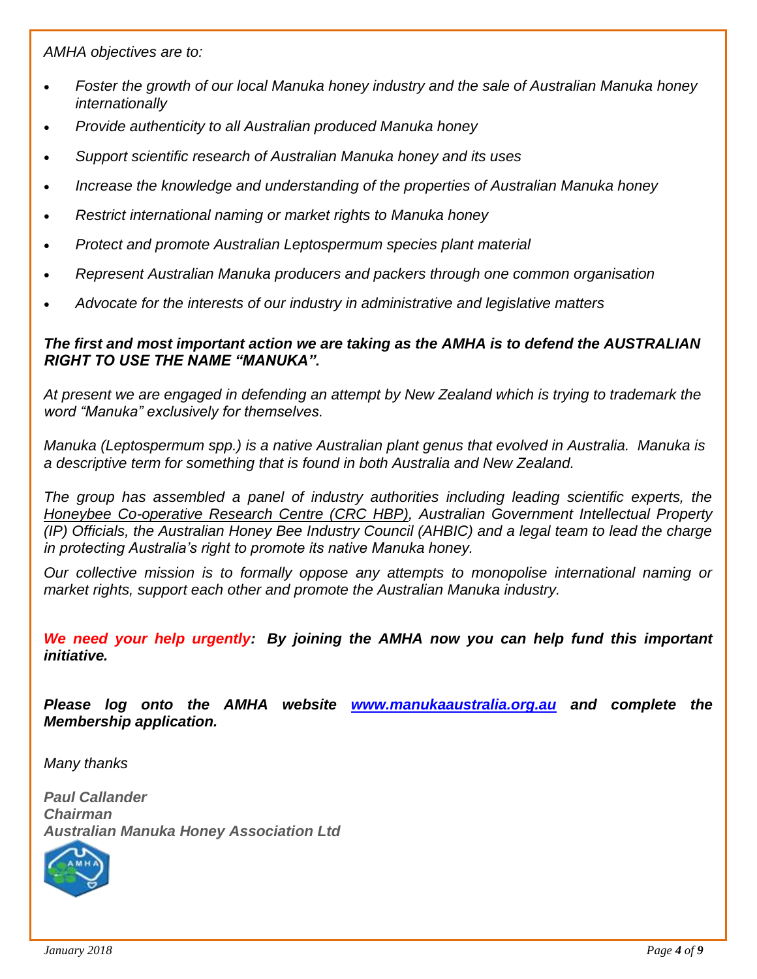*AMHA objectives are to:*

- *Foster the growth of our local Manuka honey industry and the sale of Australian Manuka honey internationally*
- *Provide authenticity to all Australian produced Manuka honey*
- *Support scientific research of Australian Manuka honey and its uses*
- *Increase the knowledge and understanding of the properties of Australian Manuka honey*
- *Restrict international naming or market rights to Manuka honey*
- *Protect and promote Australian Leptospermum species plant material*
- *Represent Australian Manuka producers and packers through one common organisation*
- *Advocate for the interests of our industry in administrative and legislative matters*

#### *The first and most important action we are taking as the AMHA is to defend the AUSTRALIAN RIGHT TO USE THE NAME "MANUKA".*

*At present we are engaged in defending an attempt by New Zealand which is trying to trademark the word "Manuka" exclusively for themselves.*

*Manuka (Leptospermum spp.) is a native Australian plant genus that evolved in Australia. Manuka is a descriptive term for something that is found in both Australia and New Zealand.*

*The group has assembled a panel of industry authorities including leading scientific experts, the [Honeybee Co-operative Research Centre \(CRC HBP\),](http://www.crchoneybeeproducts.com/) Australian Government Intellectual Property (IP) Officials, the Australian Honey Bee Industry Council (AHBIC) and a legal team to lead the charge in protecting Australia's right to promote its native Manuka honey.* 

*Our collective mission is to formally oppose any attempts to monopolise international naming or market rights, support each other and promote the Australian Manuka industry.* 

*We need your help urgently: By joining the AMHA now you can help fund this important initiative.*

*Please log onto the AMHA website [www.manukaaustralia.org.au](http://www.manukaaustralia.org.au/) and complete the Membership application.* 

*Many thanks* 

*Paul Callander Chairman [Australian](https://amha.bareconsulting.com.au/) Manuka Honey Association Ltd*

![](_page_3_Picture_18.jpeg)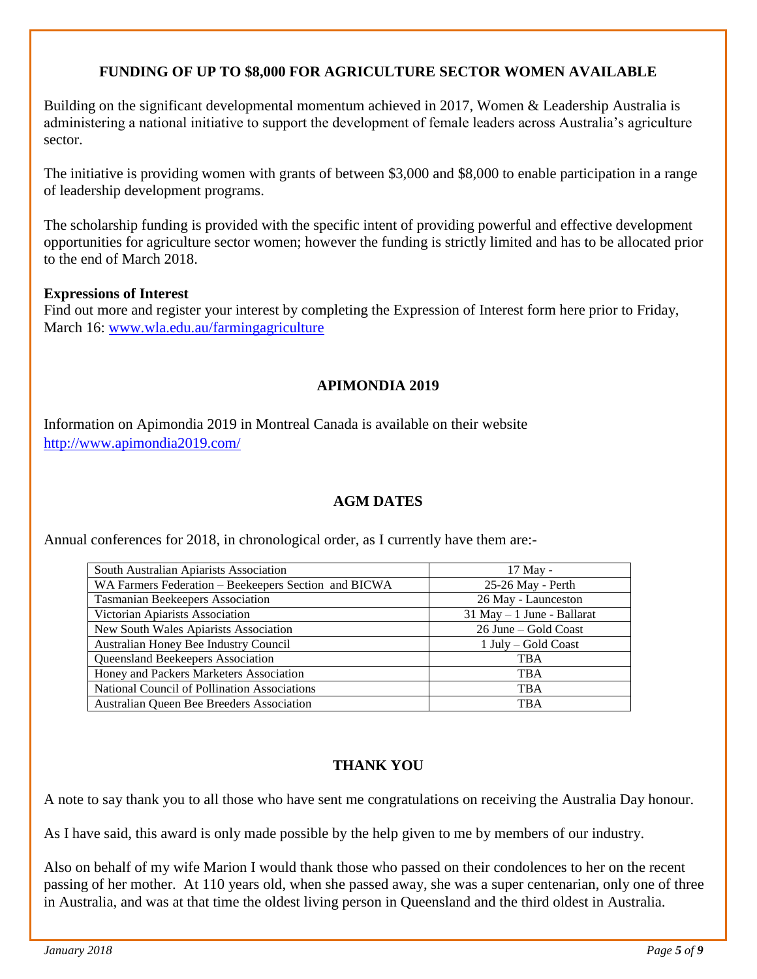## **FUNDING OF UP TO \$8,000 FOR AGRICULTURE SECTOR WOMEN AVAILABLE**

Building on the significant developmental momentum achieved in 2017, Women & Leadership Australia is administering a national initiative to support the development of female leaders across Australia's agriculture sector.

The initiative is providing women with grants of between \$3,000 and \$8,000 to enable participation in a range of leadership development programs.

The scholarship funding is provided with the specific intent of providing powerful and effective development opportunities for agriculture sector women; however the funding is strictly limited and has to be allocated prior to the end of March 2018.

#### **Expressions of Interest**

Find out more and register your interest by completing the Expression of Interest form here prior to Friday, March 16: [www.wla.edu.au/farmingagriculture](http://www.wla.edu.au/farmingagriculture)

### **APIMONDIA 2019**

Information on Apimondia 2019 in Montreal Canada is available on their website <http://www.apimondia2019.com/>

### **AGM DATES**

Annual conferences for 2018, in chronological order, as I currently have them are:-

| South Australian Apiarists Association               | 17 May -                      |
|------------------------------------------------------|-------------------------------|
| WA Farmers Federation - Beekeepers Section and BICWA | 25-26 May - Perth             |
| <b>Tasmanian Beekeepers Association</b>              | 26 May - Launceston           |
| Victorian Apiarists Association                      | $31$ May $-1$ June - Ballarat |
| New South Wales Apiarists Association                | 26 June – Gold Coast          |
| Australian Honey Bee Industry Council                | 1 July – Gold Coast           |
| Queensland Beekeepers Association                    | <b>TBA</b>                    |
| Honey and Packers Marketers Association              | <b>TBA</b>                    |
| National Council of Pollination Associations         | <b>TBA</b>                    |
| Australian Queen Bee Breeders Association            | <b>TBA</b>                    |

### **THANK YOU**

A note to say thank you to all those who have sent me congratulations on receiving the Australia Day honour.

As I have said, this award is only made possible by the help given to me by members of our industry.

Also on behalf of my wife Marion I would thank those who passed on their condolences to her on the recent passing of her mother. At 110 years old, when she passed away, she was a super centenarian, only one of three in Australia, and was at that time the oldest living person in Queensland and the third oldest in Australia.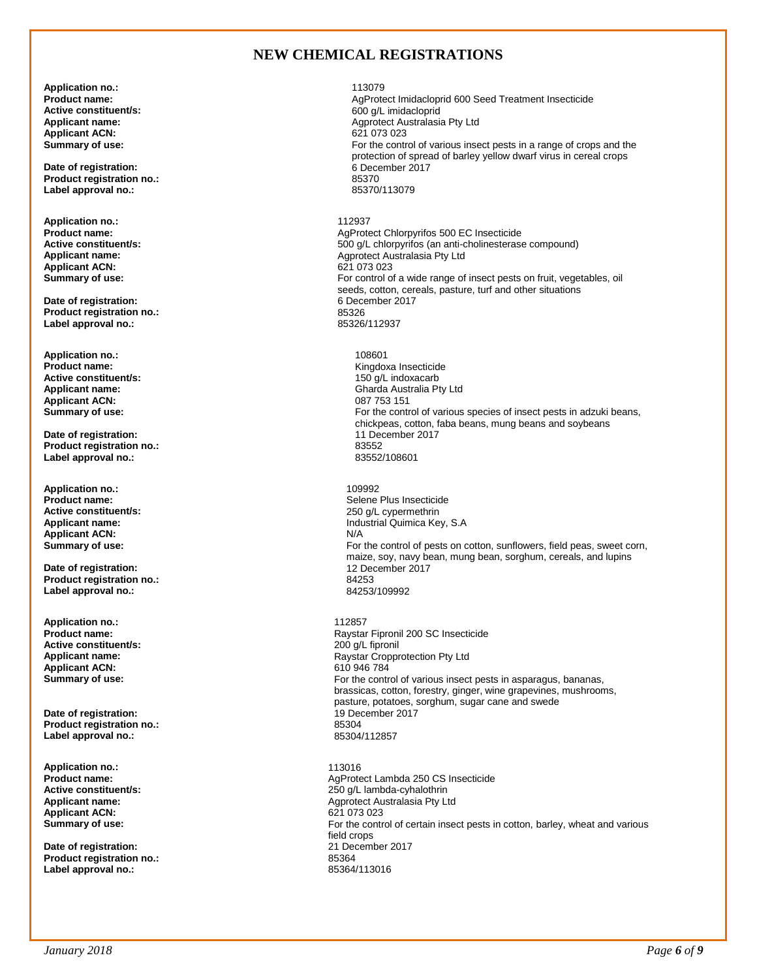#### **NEW CHEMICAL REGISTRATIONS**

**Application no.:** 113079 **Applicant ACN:**<br>Summary of use:

**Date of registration:** 6 December 2017 6 December 2017 6 December 2017 6 December 2017 6 December 2017 6 December 2017 85370 **Product registration no.:** 85370 Label approval no.:

**Application no.:** 112937 Applicant ACN:<br>Summary of use:

**Date of registration:** 6 December 2017 12:00 00:00 00:00 00:00 00:00 00:00 00:00 00:00 00:00 00:00 00:00 00:00 00:00 00:00 00:00 00:00 00:00 00:00 00:00 00:00 00:00 00:00 00:00 00:00 00:00 00:00 00:00 00:00 00:00 00:00 00 **Product registration no.:** 85326 Label approval no.:

**Application no.:** 108601 **Active constituent/s:**<br>Applicant name: **Applicant ACN:**<br>Summary of use:

**Date of registration:**  $11$  December 2017 11 December 2017 11 December 2017 11 December 2017 **Product registration no.:** 83552 Label approval no.:

**Application no.:** 109992 **Applicant ACN:** N/A<br> **Summary of use:** For

**Date of registration: 12 December 2017**<br> **Product registration no.:** 84253 **Product registration no.:** 84253 Label approval no.:

**Application no.:** 112857 **Active constituent/s:**<br>Applicant name: **Applicant ACN:** 610 946 784<br> **Summary of use:** Contract Contract Contract Contract Contract Contract Contract Contract Contract Contract Contr

**Date of registration: 19 December 2017** 19 December 2017<br> **Product registration no.:** 85304 **Product registration no.: Label approval no.:** 85304/112857

**Application no.:** 113016 **Applicant ACN:**<br>Summary of use:

**Date of registration:** 21 December 2017 December 2017 December 2017 December 2017 December 2017 December 2017 December 2017 December 2017 December 2017 December 2017 December 2017 December 2017 December 2017 December 2017 Product registration no.:<br>
Label approval no.:<br>
85364/113016 Label approval no.:

**Product name:**<br> **AgProtect Imidacloprid 600 Seed Treatment Insecticide**<br> **Active constituent/s:**<br> **Active constituent/s: Active constituent/s:** 600 g/L imidacloprid Agprotect Australasia Pty Ltd<br>621 073 023 For the control of various insect pests in a range of crops and the protection of spread of barley yellow dwarf virus in cereal crops **Product name:**<br> **AgProtect Chlorpyrifos 500 EC Insecticide**<br> **Active constituent/s:**<br>
AgProtect Chlorpyrifos (an anti-cholinesterase<br>
Active constituent/s: **Active constituent/s:** <br>**Applicant name: Applicant name: Applicant name: Applicant name: Applicant name: Applicant name: Applicant name: Applicant name: Applicant name: Applicant name: Applicant name:** Agprotect Australasia Pty Ltd<br>621 073 023 For control of a wide range of insect pests on fruit, vegetables, oil seeds, cotton, cereals, pasture, turf and other situations 6 December 2017

> Kingdoxa Insecticide<br>150 g/L indoxacarb Gharda Australia Pty Ltd<br>087 753 151 For the control of various species of insect pests in adzuki beans, chickpeas, cotton, faba beans, mung beans and soybeans

**Product name: Product name: Selene Plus Insecticide**<br> **Active constituent/s:** 250 g/L cypermethrin **Active constituent/s:** <br> **Applicant name:** <br> **Applicant name:** <br> **Applicant name:** <br> **Applicant name:** <br> **Applicant name:** <br> **Applicant name:** <br> **Applicant name:** <br> **Applicant name:** <br> **Applicant name:** <br> **Applicant name: Applicant name:** Industrial Quimica Key, S.A For the control of pests on cotton, sunflowers, field peas, sweet corn, maize, soy, navy bean, mung bean, sorghum, cereals, and lupins

> Raystar Fipronil 200 SC Insecticide<br>200 g/L fipronil **Applicant name:** Raystar Cropprotection Pty Ltd For the control of various insect pests in asparagus, bananas, brassicas, cotton, forestry, ginger, wine grapevines, mushrooms, pasture, potatoes, sorghum, sugar cane and swede

**Product name:** <br>**AgProtect Lambda 250 CS Insecticide**<br>**Active constituent/s:** <br>**AgProtect Lambda-cyhalothrin Active constituent/s:** <br>**Applicant name:** <br>**Applicant name:** <br>**A**pplicant name: <br>**A**pplicant name: <br>**A**pplicant name: <br>**A**pplicant name: <br>**A**pplicant name: <br>**A**pplicant name: <br>**A**pplicant name: <br>**A**pplicant name: <br>**A**ppli Agprotect Australasia Pty Ltd<br>621 073 023 For the control of certain insect pests in cotton, barley, wheat and various field crops<br>21 December 2017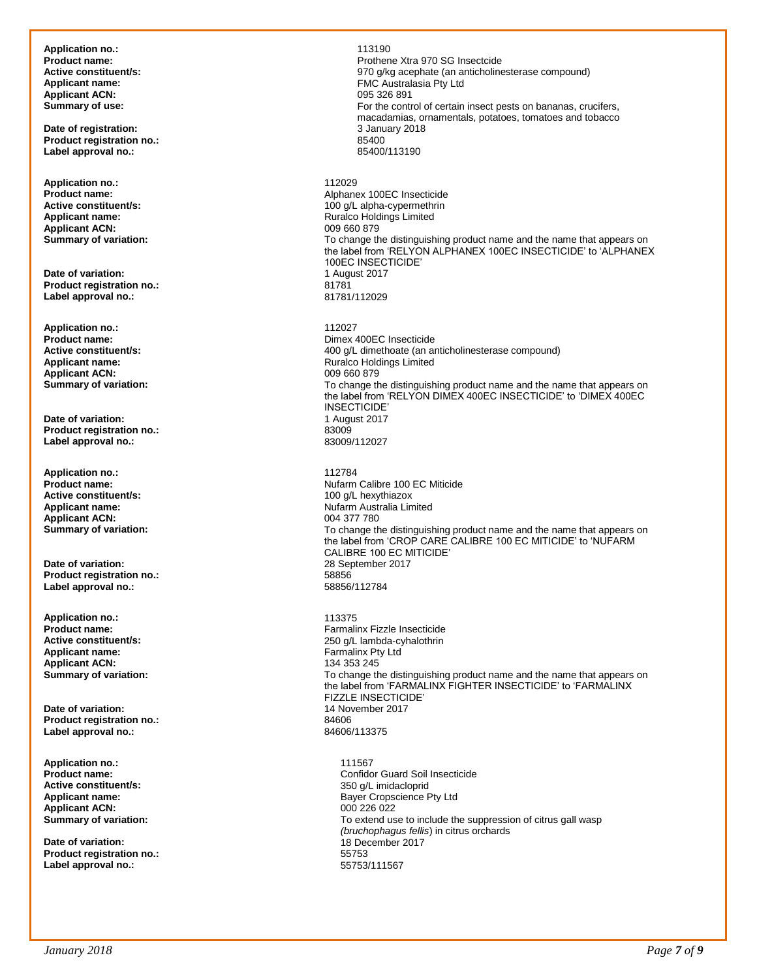**Application no.:** 113190 Applicant ACN:<br>
Summary of use:

**Date of registration: 2018 Date of registration: 3 January 2018 2018 2018 2018 2018 2018 2018 2018 2018 2018 2018 2018 2018 Product registration no.:** 85400 **Label approval no.:** 

**Application no.:** 112029 **Applicant ACN:**<br>**Summary of variation:** 

**Date of variation:** 1 August 2017 **Product registration no.:** 81781 **Label approval no.:** 

**Application no.:** 112027 **Applicant ACN:**<br>Summary of variation:

**Date of variation:** 1 August 2017 **Product registration no.:** 83009 **Label approval no.:** 

**Application no.:** 112784 **Active constituent/s:** <br> **Applicant name:** <br> **Applicant name:** <br> **Applicant name:** <br> **Applicant name:** <br> **Applicant name:** <br> **Applicant name:** <br> **Applicant name:** <br> **Applicant name:** <br> **Applicant name:** <br> **Applicant name: Applicant ACN:**<br> **Summary of variation:** 

**Date of variation:** 28 September 2017 **Product registration no.:** 58856 **Label approval no.:** 

**Application no.:** 113375 **Applicant name:** Farmalinx Pty Ltd **Applicant ACN:**<br>**Summary of variation:** 

**Date of variation: 14 November 2017**<br> **Product registration no.:** 84606 **Product registration no.:** 84606 Label approval no.:

**Application no.:** 111567 **Active constituent/s:** <br>**Applicant name:** <br>**Applicant name:** <br>**Applicant name:** <br>**Applicant name:** <br>**Applicant name:** <br>**Applicant name:** <br>**Applicant name:** <br>**Applicant name:** <br>**Applicant Applicant Applicant Applican Applicant ACN:** 000 226 022

**Date of variation: Date of variation: 18 December 2017 Product registration no.:** 55753 Label approval no.:

**Product name:** Prothene Xtra 970 SG Insectcide **Active constituent/s:** <br>**Applicant name:** <br>**Applicant name:** <br>**PMC** Australasia Pty Ltd FMC Australasia Pty Ltd<br>095 326 891 For the control of certain insect pests on bananas, crucifers, macadamias, ornamentals, potatoes, tomatoes and tobacco **Product name:** <br>**Alphanex 100EC Insecticide**<br>**Active constituent/s:** <br>**Alpha-cypermethrin Active constituent/s:** <br> **Applicant name:** <br> **Applicant name:** <br> **Applicant name:** <br> **Alta propriet in the Constitution of the Constant of Ruralco Holdings Limited** Ruralco Holdings Limited<br>009 660 879 To change the distinguishing product name and the name that appears on the label from 'RELYON ALPHANEX 100EC INSECTICIDE' to 'ALPHANEX 100EC INSECTICIDE'<br>1 August 2017 **Product name: Product name: Product name: Product name: Product name: Product name: Product name: Product name: Product name: Product name: Product name: Product name: Product name: Product name: Active constituent/s:** <br> **Applicant name:** <br> **Applicant name:** <br> **Applicant name:** <br> **Applicant name:** <br> **Applicant name:** <br> **Applicant name:** <br> **Applicant name:** <br> **Applicant name:** <br> **Applicant name:** <br> **Applicant name: Ruralco Holdings Limited**<br>009.660.879 To change the distinguishing product name and the name that appears on the label from 'RELYON DIMEX 400EC INSECTICIDE' to 'DIMEX 400EC INSECTICIDE'<br>1 August 2017 **Product name: Product name: Product name: Active constituent/s: Product name: Active constituent/s: Active constituent/s: Active constituent/s: Active constituent/s: Active constituent/s: Active consti Nufarm Australia Limited<br>004 377 780 Summary of variation: The summary of variation:** To change the distinguishing product name and the name that appears on the label from 'CROP CARE CALIBRE 100 EC MITICIDE' to 'NUFARM CALIBRE 100 EC MITICIDE' **Product name:** Farmalinx Fizzle Insecticide **Active constituent/s:** 250 g/L lambda-cyhalothrin To change the distinguishing product name and the name that appears on the label from 'FARMALINX FIGHTER INSECTICIDE' to 'FARMALINX FIZZLE INSECTICIDE'

**Product name:** <br> **Product name:** <br> **Active constituent/s:** <br> **Confidor Guard Soil Insecticide Active constituent/s:** <br> **Confidor Guard Soil Insecticide Bayer Cropscience Pty Ltd** To extend use to include the suppression of citrus gall wasp *(bruchophagus fellis*) in citrus orchards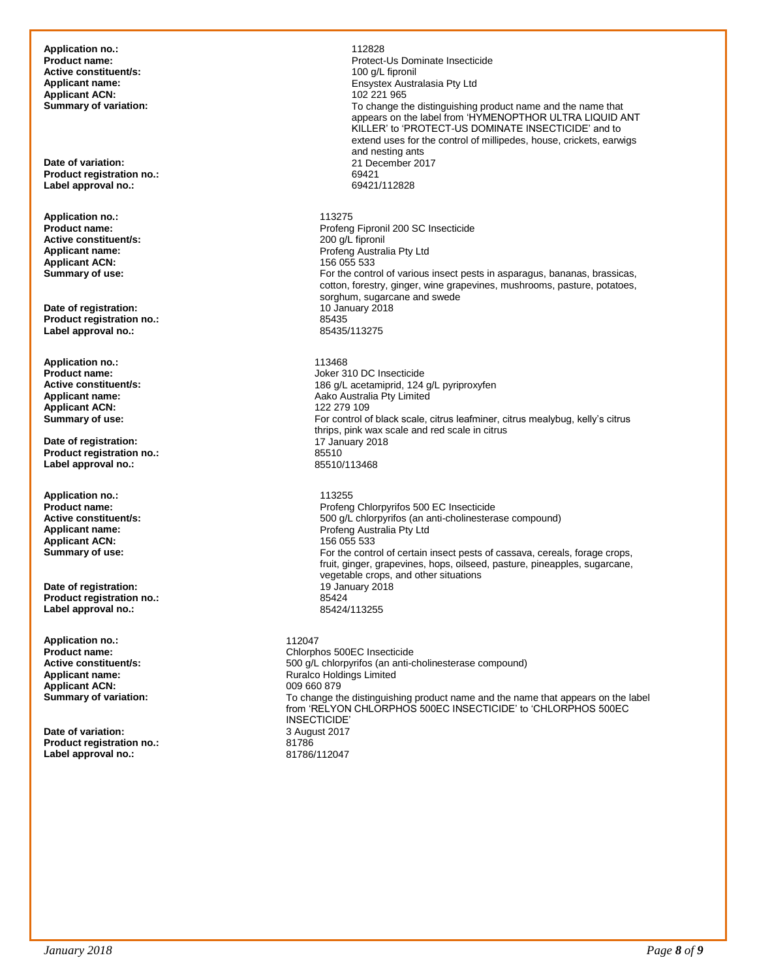**Application no.:** 112828 **Active constituent/s:**<br>Applicant name: **Applicant ACN:**<br> **Summary of variation:** 

**Product registration no.:** 69421 Label approval no.:

**Application no.:** 113275 **Active constituent/s:**<br>**Applicant name:** Applicant ACN:<br>Summary of use:

**Date of registration:** 10 January 2018 Product registration no.:<br>
Label approval no.:<br>
85435/113275 Label approval no.:

**Application no.: 113468**<br>**Product name: 113468 Applicant ACN:**<br>Summary of use:

**Date of registration:** 17 January 2018<br> **Product registration no.:** 85510 **Product registration no.:** 85510 Label approval no.:

**Application no.:** 113255 **Applicant ACN:**<br>Summary of use:

**Date of registration: 19 January 2018**<br> **Product registration no.:** 85424 **Product registration no.: Label approval no.:** 85424/113255

**Application no.:** 112047 **Product name:** Chlorphos 500EC Insecticide **Applicant ACN:** 

**Date of variation: Product registration no.:** 81786 **Label approval no.:** 

Protect-Us Dominate Insecticide<br>100  $\alpha$ /L fipronil **Ensystex Australasia Pty Ltd**<br>102 221 965 To change the distinguishing product name and the name that appears on the label from 'HYMENOPTHOR ULTRA LIQUID ANT KILLER' to 'PROTECT-US DOMINATE INSECTICIDE' and to extend uses for the control of millipedes, house, crickets, earwigs and nesting ants **Date of variation:** 21 December 2017 Profeng Fipronil 200 SC Insecticide<br>200 g/L fipronil Profeng Australia Pty Ltd<br>156 055 533 For the control of various insect pests in asparagus, bananas, brassicas, cotton, forestry, ginger, wine grapevines, mushrooms, pasture, potatoes, sorghum, sugarcane and swede<br>10 January 2018 **Product name:** Joker 310 DC Insecticide **Active constituent/s:** <br> **Applicant name:** <br> **Addo Australia Ptv Limited**<br>
Addo Australia Ptv Limited Aako Australia Pty Limited<br>122 279 109 For control of black scale, citrus leafminer, citrus mealybug, kelly's citrus thrips, pink wax scale and red scale in citrus **Product name:**<br> **Product name: Product name:** Profeng Chlorpyrifos 500 EC Insecticide<br> **Product name:** Product name: S00 a/L chlorpyrifos (an anti-cholinesteral) **Active constituent/s:** <br>**Applicant name:** <br>**Applicant name:** <br>**Applicant name:** <br>**Applicant name:** <br>**Applicant name:** <br>**Profend Australia Ptv Ltd** Profeng Australia Pty Ltd<br>156 055 533 For the control of certain insect pests of cassava, cereals, forage crops, fruit, ginger, grapevines, hops, oilseed, pasture, pineapples, sugarcane, vegetable crops, and other situations **Active constituent/s:**  $\begin{array}{r} 500 \text{ g/L} \text{ chlorpyrifos (an anti-cholinesterase compound)} \\ \text{Applicant name:} \end{array}$ Ruralco Holdings Limited<br>009 660 879

**Summary of variation: To change the distinguishing product name and the name that appears on the label** from 'RELYON CHLORPHOS 500EC INSECTICIDE' to 'CHLORPHOS 500EC INSECTICIDE'<br>3 August 2017